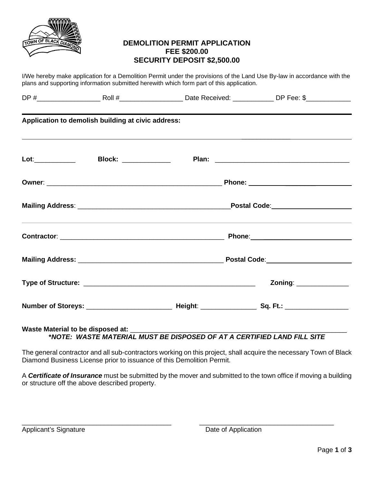

# **DEMOLITION PERMIT APPLICATION FEE \$200.00 SECURITY DEPOSIT \$2,500.00**

I/We hereby make application for a Demolition Permit under the provisions of the Land Use By-law in accordance with the plans and supporting information submitted herewith which form part of this application.

|                      | Application to demolish building at civic address: |                                                                                 |                          |  |
|----------------------|----------------------------------------------------|---------------------------------------------------------------------------------|--------------------------|--|
| Lot:________________ | Block: ____________                                |                                                                                 |                          |  |
|                      |                                                    |                                                                                 |                          |  |
|                      |                                                    |                                                                                 |                          |  |
|                      |                                                    | <u>,这些人都是一个人的人,我们就是一个人的人,我们就是一个人的人,我们就是一个人的人,我们就是一个人的人,我们就是一个人的人,我们就是一个人的人,</u> |                          |  |
|                      |                                                    |                                                                                 |                          |  |
|                      |                                                    |                                                                                 | Zoning: ________________ |  |
|                      |                                                    |                                                                                 |                          |  |

## Waste Material to be disposed at: **\****NOTE: WASTE MATERIAL MUST BE DISPOSED OF AT A CERTIFIED LAND FILL SITE*

The general contractor and all sub-contractors working on this project, shall acquire the necessary Town of Black Diamond Business License prior to issuance of this Demolition Permit.

A *Certificate of Insurance* must be submitted by the mover and submitted to the town office if moving a building or structure off the above described property.

Applicant's Signature **Date of Application**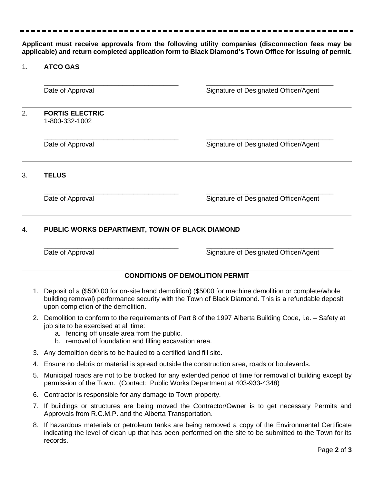**Applicant must receive approvals from the following utility companies (disconnection fees may be applicable) and return completed application form to Black Diamond's Town Office for issuing of permit.** 

#### 1. **ATCO GAS**

\_\_\_\_\_\_\_\_\_\_\_\_\_\_\_\_\_\_\_\_\_\_\_\_\_\_\_\_\_\_\_\_\_\_\_\_ \_\_\_\_\_\_\_\_\_\_\_\_\_\_\_\_\_\_\_\_\_\_\_\_\_\_\_\_\_\_\_\_\_\_ Date of Approval **Date of Approval** Signature of Designated Officer/Agent

2. **FORTIS ELECTRIC**  1-800-332-1002

\_\_\_\_\_\_\_\_\_\_\_\_\_\_\_\_\_\_\_\_\_\_\_\_\_\_\_\_\_\_\_\_\_\_\_\_ \_\_\_\_\_\_\_\_\_\_\_\_\_\_\_\_\_\_\_\_\_\_\_\_\_\_\_\_\_\_\_\_\_\_ Date of Approval **Date of Approval** Signature of Designated Officer/Agent

3. **TELUS**

\_\_\_\_\_\_\_\_\_\_\_\_\_\_\_\_\_\_\_\_\_\_\_\_\_\_\_\_\_\_\_\_\_\_\_\_ \_\_\_\_\_\_\_\_\_\_\_\_\_\_\_\_\_\_\_\_\_\_\_\_\_\_\_\_\_\_\_\_\_\_ Date of Approval **Date of Approval** Signature of Designated Officer/Agent

## 4. **PUBLIC WORKS DEPARTMENT, TOWN OF BLACK DIAMOND**

\_\_\_\_\_\_\_\_\_\_\_\_\_\_\_\_\_\_\_\_\_\_\_\_\_\_\_\_\_\_\_\_\_\_\_\_ \_\_\_\_\_\_\_\_\_\_\_\_\_\_\_\_\_\_\_\_\_\_\_\_\_\_\_\_\_\_\_\_\_\_ Date of Approval **Date of Approval** Signature of Designated Officer/Agent

### **CONDITIONS OF DEMOLITION PERMIT**

- 1. Deposit of a (\$500.00 for on-site hand demolition) (\$5000 for machine demolition or complete/whole building removal) performance security with the Town of Black Diamond. This is a refundable deposit upon completion of the demolition.
- 2. Demolition to conform to the requirements of Part 8 of the 1997 Alberta Building Code, i.e. Safety at job site to be exercised at all time:
	- a. fencing off unsafe area from the public.
	- b. removal of foundation and filling excavation area.
- 3. Any demolition debris to be hauled to a certified land fill site.
- 4. Ensure no debris or material is spread outside the construction area, roads or boulevards.
- 5. Municipal roads are not to be blocked for any extended period of time for removal of building except by permission of the Town. (Contact: Public Works Department at 403-933-4348)
- 6. Contractor is responsible for any damage to Town property.
- 7. If buildings or structures are being moved the Contractor/Owner is to get necessary Permits and Approvals from R.C.M.P. and the Alberta Transportation.
- 8. If hazardous materials or petroleum tanks are being removed a copy of the Environmental Certificate indicating the level of clean up that has been performed on the site to be submitted to the Town for its records.